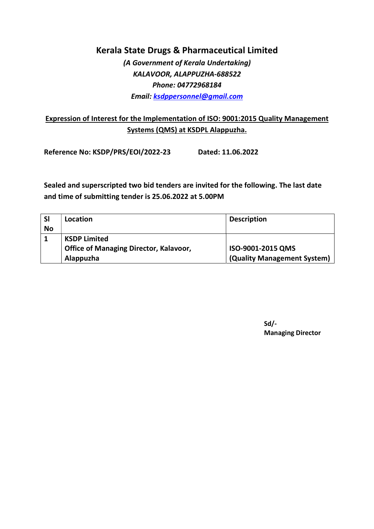(A Government of Kerala Undertaking) KALAVOOR, ALAPPUZHA-688522 Phone: 04772968184 Email: ksdppersonnel@gmail.com

### Expression of Interest for the Implementation of ISO: 9001:2015 Quality Management Systems (QMS) at KSDPL Alappuzha.

Reference No: KSDP/PRS/EOI/2022-23 Dated: 11.06.2022

Sealed and superscripted two bid tenders are invited for the following. The last date and time of submitting tender is 25.06.2022 at 5.00PM

| <b>SI</b> | Location                                      | <b>Description</b>          |
|-----------|-----------------------------------------------|-----------------------------|
| <b>No</b> |                                               |                             |
|           | <b>KSDP Limited</b>                           |                             |
|           | <b>Office of Managing Director, Kalavoor,</b> | ISO-9001-2015 QMS           |
|           | Alappuzha                                     | (Quality Management System) |

Sd/- Managing Director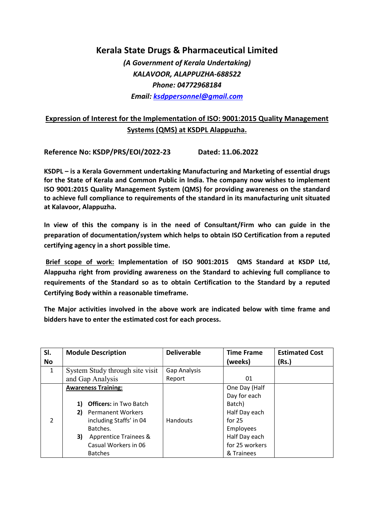(A Government of Kerala Undertaking) KALAVOOR, ALAPPUZHA-688522 Phone: 04772968184 Email: ksdppersonnel@gmail.com

### Expression of Interest for the Implementation of ISO: 9001:2015 Quality Management Systems (QMS) at KSDPL Alappuzha.

Reference No: KSDP/PRS/EOI/2022-23 Dated: 11.06.2022

KSDPL – is a Kerala Government undertaking Manufacturing and Marketing of essential drugs for the State of Kerala and Common Public in India. The company now wishes to implement ISO 9001:2015 Quality Management System (QMS) for providing awareness on the standard to achieve full compliance to requirements of the standard in its manufacturing unit situated at Kalavoor, Alappuzha.

In view of this the company is in the need of Consultant/Firm who can guide in the preparation of documentation/system which helps to obtain ISO Certification from a reputed certifying agency in a short possible time.

 Brief scope of work: Implementation of ISO 9001:2015 QMS Standard at KSDP Ltd, Alappuzha right from providing awareness on the Standard to achieving full compliance to requirements of the Standard so as to obtain Certification to the Standard by a reputed Certifying Body within a reasonable timeframe.

The Major activities involved in the above work are indicated below with time frame and bidders have to enter the estimated cost for each process.

| SI.<br>No     | <b>Module Description</b>                                                                                                                                                                                           | <b>Deliverable</b>     | <b>Time Frame</b><br>(weeks)                                                                                                       | <b>Estimated Cost</b><br>(Rs.) |
|---------------|---------------------------------------------------------------------------------------------------------------------------------------------------------------------------------------------------------------------|------------------------|------------------------------------------------------------------------------------------------------------------------------------|--------------------------------|
| $\mathbf{1}$  | System Study through site visit<br>and Gap Analysis                                                                                                                                                                 | Gap Analysis<br>Report | 01                                                                                                                                 |                                |
| $\mathcal{P}$ | <b>Awareness Training:</b><br><b>Officers: in Two Batch</b><br>1)<br><b>Permanent Workers</b><br>2)<br>including Staffs' in 04<br>Batches.<br>3)<br>Apprentice Trainees &<br>Casual Workers in 06<br><b>Batches</b> | Handouts               | One Day (Half<br>Day for each<br>Batch)<br>Half Day each<br>for $25$<br>Employees<br>Half Day each<br>for 25 workers<br>& Trainees |                                |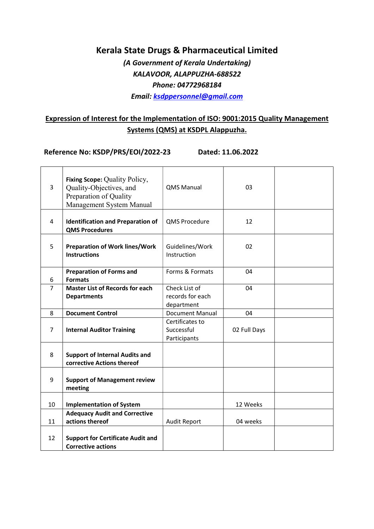(A Government of Kerala Undertaking) KALAVOOR, ALAPPUZHA-688522 Phone: 04772968184 Email: ksdppersonnel@gmail.com

### Expression of Interest for the Implementation of ISO: 9001:2015 Quality Management Systems (QMS) at KSDPL Alappuzha.

Reference No: KSDP/PRS/EOI/2022-23 Dated: 11.06.2022

| $\overline{3}$ | Fixing Scope: Quality Policy,<br>Quality-Objectives, and<br>Preparation of Quality<br>Management System Manual | <b>QMS Manual</b>                               | 03           |  |
|----------------|----------------------------------------------------------------------------------------------------------------|-------------------------------------------------|--------------|--|
| 4              | <b>Identification and Preparation of</b><br><b>QMS Procedures</b>                                              | QMS Procedure                                   | 12           |  |
| 5              | <b>Preparation of Work lines/Work</b><br><b>Instructions</b>                                                   | Guidelines/Work<br>Instruction                  | 02           |  |
| 6              | <b>Preparation of Forms and</b><br><b>Formats</b>                                                              | Forms & Formats                                 | 04           |  |
| $\overline{7}$ | <b>Master List of Records for each</b><br><b>Departments</b>                                                   | Check List of<br>records for each<br>department | 04           |  |
| 8              | <b>Document Control</b>                                                                                        | Document Manual                                 | 04           |  |
| 7              | <b>Internal Auditor Training</b>                                                                               | Certificates to<br>Successful<br>Participants   | 02 Full Days |  |
| 8              | <b>Support of Internal Audits and</b><br>corrective Actions thereof                                            |                                                 |              |  |
| 9              | <b>Support of Management review</b><br>meeting                                                                 |                                                 |              |  |
| 10             | <b>Implementation of System</b>                                                                                |                                                 | 12 Weeks     |  |
| 11             | <b>Adequacy Audit and Corrective</b><br>actions thereof                                                        | <b>Audit Report</b>                             | 04 weeks     |  |
| 12             | <b>Support for Certificate Audit and</b><br><b>Corrective actions</b>                                          |                                                 |              |  |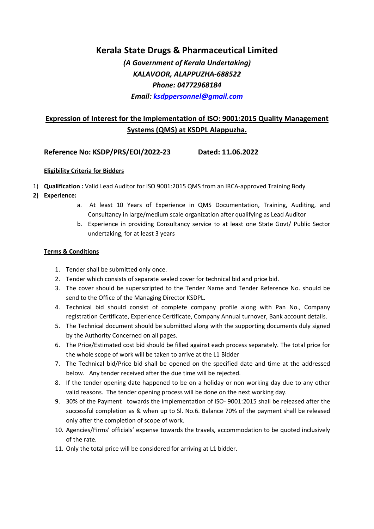(A Government of Kerala Undertaking) KALAVOOR, ALAPPUZHA-688522 Phone: 04772968184 Email: ksdppersonnel@gmail.com

### Expression of Interest for the Implementation of ISO: 9001:2015 Quality Management Systems (QMS) at KSDPL Alappuzha.

#### Reference No: KSDP/PRS/EOI/2022-23 Dated: 11.06.2022

#### Eligibility Criteria for Bidders

- 1) Qualification : Valid Lead Auditor for ISO 9001:2015 QMS from an IRCA-approved Training Body
- 2) Experience:
	- a. At least 10 Years of Experience in QMS Documentation, Training, Auditing, and Consultancy in large/medium scale organization after qualifying as Lead Auditor
	- b. Experience in providing Consultancy service to at least one State Govt/ Public Sector undertaking, for at least 3 years

#### Terms & Conditions

- 1. Tender shall be submitted only once.
- 2. Tender which consists of separate sealed cover for technical bid and price bid.
- 3. The cover should be superscripted to the Tender Name and Tender Reference No. should be send to the Office of the Managing Director KSDPL.
- 4. Technical bid should consist of complete company profile along with Pan No., Company registration Certificate, Experience Certificate, Company Annual turnover, Bank account details.
- 5. The Technical document should be submitted along with the supporting documents duly signed by the Authority Concerned on all pages.
- 6. The Price/Estimated cost bid should be filled against each process separately. The total price for the whole scope of work will be taken to arrive at the L1 Bidder
- 7. The Technical bid/Price bid shall be opened on the specified date and time at the addressed below. Any tender received after the due time will be rejected.
- 8. If the tender opening date happened to be on a holiday or non working day due to any other valid reasons. The tender opening process will be done on the next working day.
- 9. 30% of the Payment towards the implementation of ISO- 9001:2015 shall be released after the successful completion as & when up to Sl. No.6. Balance 70% of the payment shall be released only after the completion of scope of work.
- 10. Agencies/Firms' officials' expense towards the travels, accommodation to be quoted inclusively of the rate.
- 11. Only the total price will be considered for arriving at L1 bidder.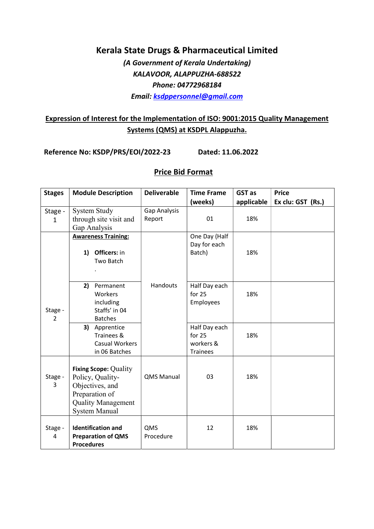(A Government of Kerala Undertaking) KALAVOOR, ALAPPUZHA-688522 Phone: 04772968184 Email: ksdppersonnel@gmail.com

### Expression of Interest for the Implementation of ISO: 9001:2015 Quality Management Systems (QMS) at KSDPL Alappuzha.

Reference No: KSDP/PRS/EOI/2022-23 Dated: 11.06.2022

### Price Bid Format

| <b>Stages</b>             | <b>Module Description</b>                                                                                                                  | <b>Deliverable</b> | <b>Time Frame</b>                                       | GST as     | <b>Price</b>      |
|---------------------------|--------------------------------------------------------------------------------------------------------------------------------------------|--------------------|---------------------------------------------------------|------------|-------------------|
|                           |                                                                                                                                            |                    | (weeks)                                                 | applicable | Ex clu: GST (Rs.) |
| Stage -                   | <b>System Study</b>                                                                                                                        | Gap Analysis       |                                                         |            |                   |
| $\mathbf{1}$              | through site visit and                                                                                                                     | Report             | 01                                                      | 18%        |                   |
|                           | Gap Analysis<br><b>Awareness Training:</b><br><b>Officers: in</b><br>1)<br>Two Batch                                                       |                    | One Day (Half<br>Day for each<br>Batch)                 | 18%        |                   |
| Stage -<br>$\overline{2}$ | Permanent<br>2)<br>Workers<br>including<br>Staffs' in 04<br><b>Batches</b>                                                                 | Handouts           | Half Day each<br>for 25<br>Employees                    | 18%        |                   |
|                           | 3) Apprentice<br>Trainees &<br>Casual Workers<br>in 06 Batches                                                                             |                    | Half Day each<br>for 25<br>workers &<br><b>Trainees</b> | 18%        |                   |
| Stage -<br>3              | <b>Fixing Scope: Quality</b><br>Policy, Quality-<br>Objectives, and<br>Preparation of<br><b>Quality Management</b><br><b>System Manual</b> | <b>QMS Manual</b>  | 03                                                      | 18%        |                   |
| Stage -<br>4              | <b>Identification and</b><br><b>Preparation of QMS</b><br><b>Procedures</b>                                                                | QMS<br>Procedure   | 12                                                      | 18%        |                   |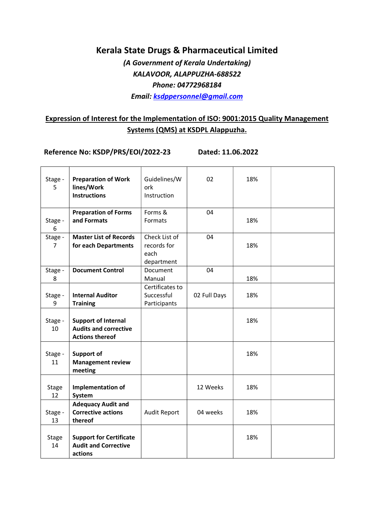(A Government of Kerala Undertaking) KALAVOOR, ALAPPUZHA-688522 Phone: 04772968184 Email: ksdppersonnel@gmail.com

### Expression of Interest for the Implementation of ISO: 9001:2015 Quality Management Systems (QMS) at KSDPL Alappuzha.

Reference No: KSDP/PRS/EOI/2022-23 Dated: 11.06.2022

| Stage -<br>5       | <b>Preparation of Work</b><br>lines/Work<br><b>Instructions</b>                      | Guidelines/W<br>ork<br>Instruction                 | 02           | 18% |  |
|--------------------|--------------------------------------------------------------------------------------|----------------------------------------------------|--------------|-----|--|
| Stage -<br>6       | <b>Preparation of Forms</b><br>and Formats                                           | Forms &<br>Formats                                 | 04           | 18% |  |
| Stage -<br>7       | <b>Master List of Records</b><br>for each Departments                                | Check List of<br>records for<br>each<br>department | 04           | 18% |  |
| Stage -<br>8       | <b>Document Control</b>                                                              | Document<br>Manual                                 | 04           | 18% |  |
| Stage -<br>9       | <b>Internal Auditor</b><br><b>Training</b>                                           | Certificates to<br>Successful<br>Participants      | 02 Full Days | 18% |  |
| Stage -<br>10      | <b>Support of Internal</b><br><b>Audits and corrective</b><br><b>Actions thereof</b> |                                                    |              | 18% |  |
| Stage -<br>11      | Support of<br><b>Management review</b><br>meeting                                    |                                                    |              | 18% |  |
| <b>Stage</b><br>12 | <b>Implementation of</b><br>System                                                   |                                                    | 12 Weeks     | 18% |  |
| Stage -<br>13      | <b>Adequacy Audit and</b><br><b>Corrective actions</b><br>thereof                    | <b>Audit Report</b>                                | 04 weeks     | 18% |  |
| Stage<br>14        | <b>Support for Certificate</b><br><b>Audit and Corrective</b><br>actions             |                                                    |              | 18% |  |